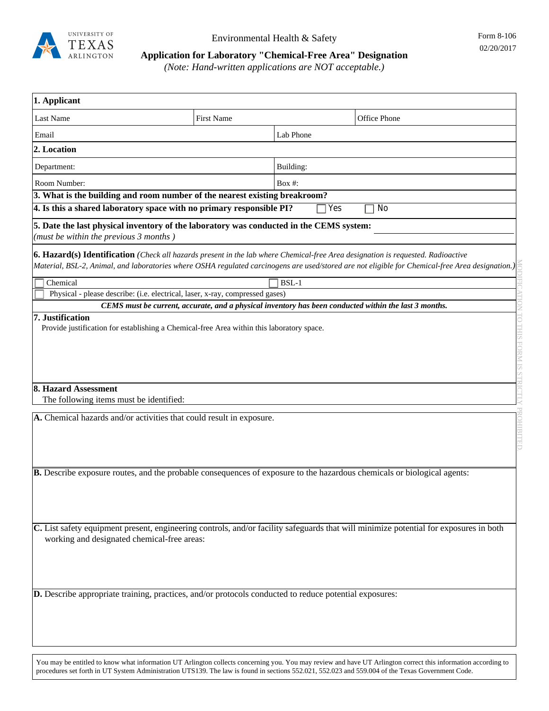

## **Application for Laboratory "Chemical-Free Area" Designation**

*(Note: Hand-written applications are NOT acceptable.)*

| 1. Applicant                                                                                                                                                                           |            |           |                                                                                                                                                  |
|----------------------------------------------------------------------------------------------------------------------------------------------------------------------------------------|------------|-----------|--------------------------------------------------------------------------------------------------------------------------------------------------|
| Last Name                                                                                                                                                                              | First Name |           | Office Phone                                                                                                                                     |
| Email                                                                                                                                                                                  |            | Lab Phone |                                                                                                                                                  |
| 2. Location                                                                                                                                                                            |            |           |                                                                                                                                                  |
| Department:                                                                                                                                                                            |            | Building: |                                                                                                                                                  |
| Room Number:                                                                                                                                                                           |            | Box #:    |                                                                                                                                                  |
| 3. What is the building and room number of the nearest existing breakroom?                                                                                                             |            |           |                                                                                                                                                  |
| 4. Is this a shared laboratory space with no primary responsible PI?                                                                                                                   |            | Yes       | No                                                                                                                                               |
| 5. Date the last physical inventory of the laboratory was conducted in the CEMS system:<br>(must be within the previous $3$ months)                                                    |            |           |                                                                                                                                                  |
| <b>6. Hazard(s) Identification</b> (Check all hazards present in the lab where Chemical-free Area designation is requested. Radioactive                                                |            |           | Material, BSL-2, Animal, and laboratories where OSHA regulated carcinogens are used/stored are not eligible for Chemical-free Area designation.) |
| Chemical                                                                                                                                                                               |            | BSL-1     |                                                                                                                                                  |
| Physical - please describe: (i.e. electrical, laser, x-ray, compressed gases)<br>CEMS must be current, accurate, and a physical inventory has been conducted within the last 3 months. |            |           |                                                                                                                                                  |
| Provide justification for establishing a Chemical-free Area within this laboratory space.                                                                                              |            |           |                                                                                                                                                  |
| 8. Hazard Assessment                                                                                                                                                                   |            |           |                                                                                                                                                  |
| The following items must be identified:                                                                                                                                                |            |           |                                                                                                                                                  |
| A. Chemical hazards and/or activities that could result in exposure.                                                                                                                   |            |           |                                                                                                                                                  |
| <b>B.</b> Describe exposure routes, and the probable consequences of exposure to the hazardous chemicals or biological agents:                                                         |            |           |                                                                                                                                                  |
| working and designated chemical-free areas:                                                                                                                                            |            |           | C. List safety equipment present, engineering controls, and/or facility safeguards that will minimize potential for exposures in both            |
| D. Describe appropriate training, practices, and/or protocols conducted to reduce potential exposures:                                                                                 |            |           |                                                                                                                                                  |

You may be entitled to know what information UT Arlington collects concerning you. You may review and have UT Arlington correct this information according to procedures set forth in UT System Administration UTS139. The law is found in sections 552.021, 552.023 and 559.004 of the Texas Government Code.